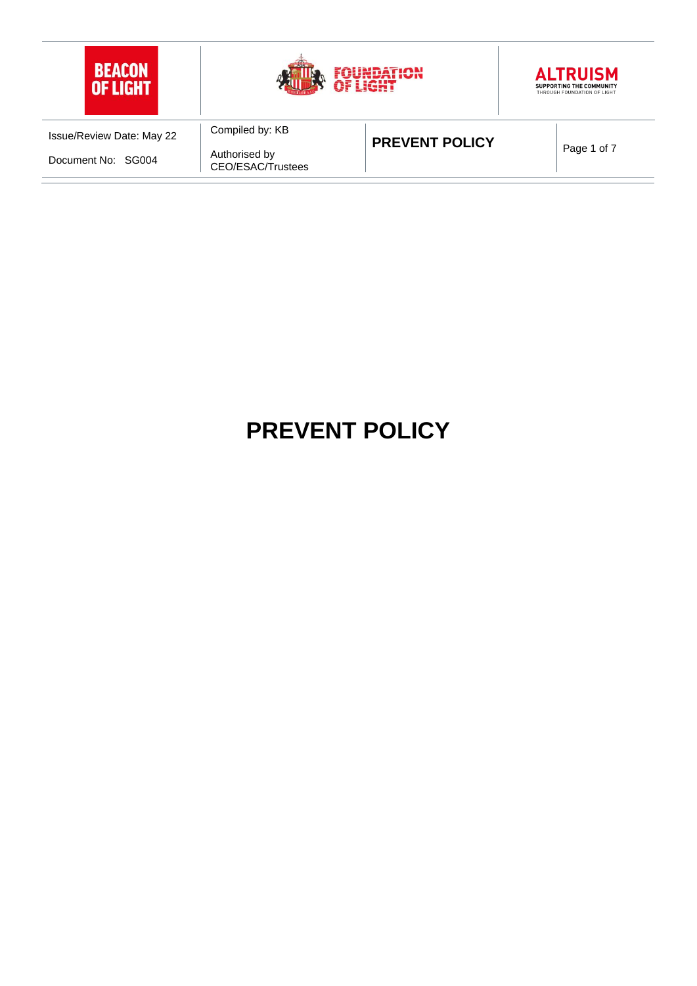

# **PREVENT POLICY**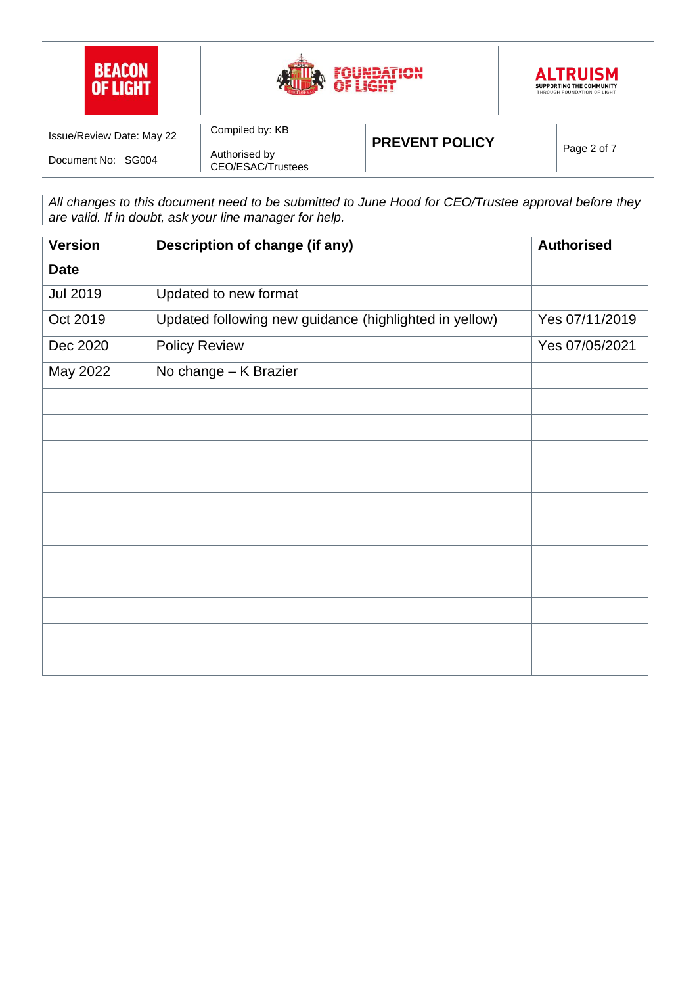

*All changes to this document need to be submitted to June Hood for CEO/Trustee approval before they are valid. If in doubt, ask your line manager for help.*

| <b>Version</b>  | Description of change (if any)                         | <b>Authorised</b> |
|-----------------|--------------------------------------------------------|-------------------|
| <b>Date</b>     |                                                        |                   |
| <b>Jul 2019</b> | Updated to new format                                  |                   |
| Oct 2019        | Updated following new guidance (highlighted in yellow) | Yes 07/11/2019    |
| Dec 2020        | <b>Policy Review</b>                                   | Yes 07/05/2021    |
| May 2022        | No change - K Brazier                                  |                   |
|                 |                                                        |                   |
|                 |                                                        |                   |
|                 |                                                        |                   |
|                 |                                                        |                   |
|                 |                                                        |                   |
|                 |                                                        |                   |
|                 |                                                        |                   |
|                 |                                                        |                   |
|                 |                                                        |                   |
|                 |                                                        |                   |
|                 |                                                        |                   |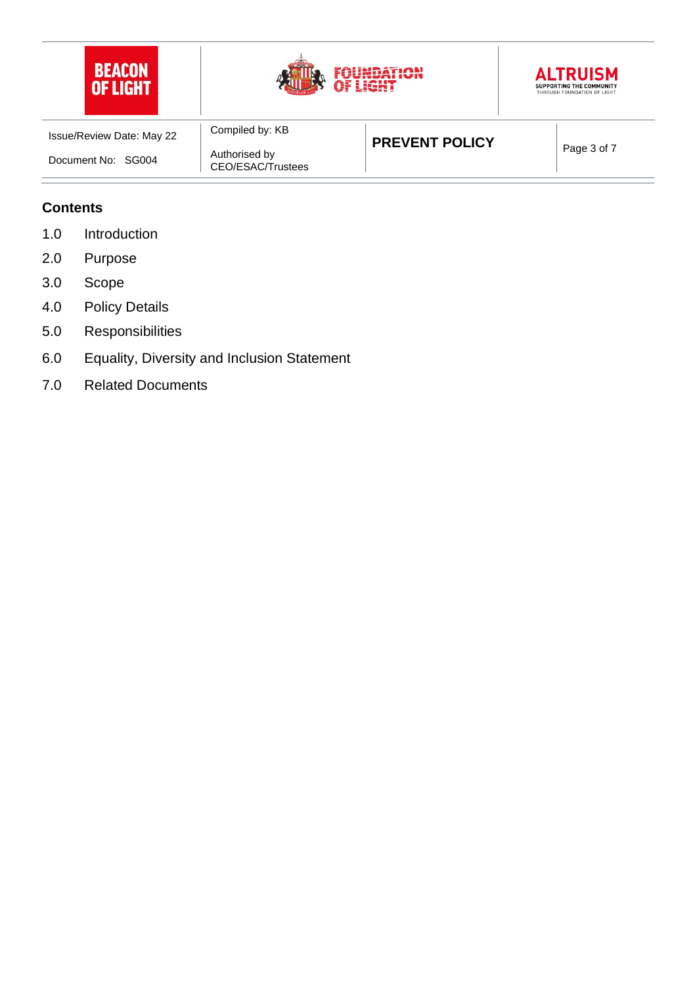





| <b>Issue/Review Date: May 22</b> | Compiled by: KB                    | <b>PREVENT POLICY</b> | Page 3 of 7 |
|----------------------------------|------------------------------------|-----------------------|-------------|
| Document No: SG004               | Authorised by<br>CEO/ESAC/Trustees |                       |             |

#### **Contents**

- 1.0 Introduction
- 2.0 Purpose
- 3.0 Scope
- 4.0 Policy Details
- 5.0 Responsibilities
- 6.0 Equality, Diversity and Inclusion Statement
- 7.0 Related Documents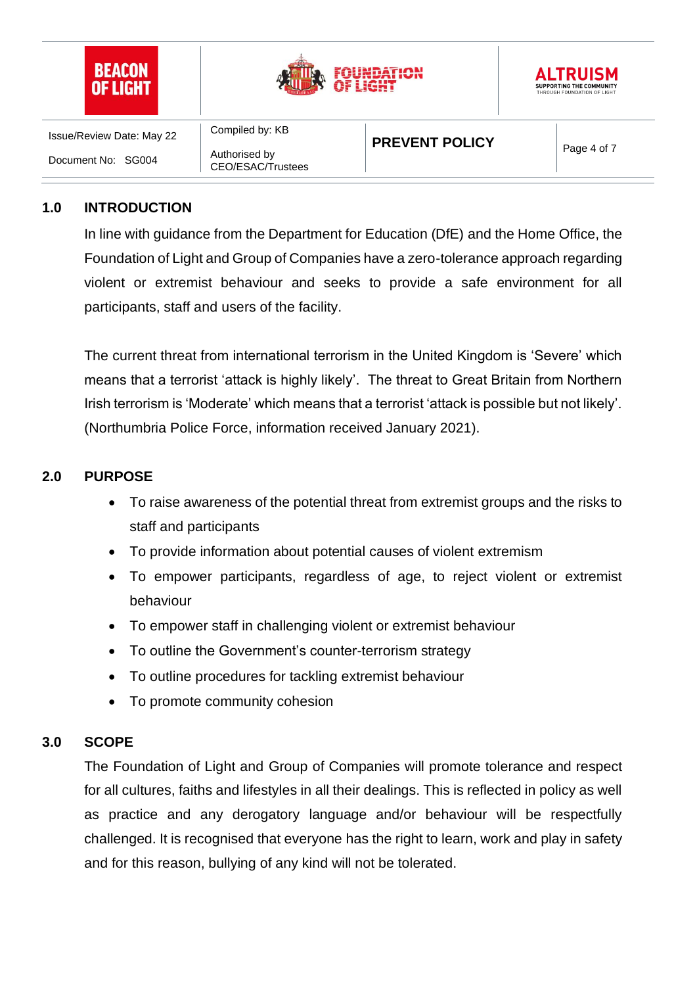

#### **1.0 INTRODUCTION**

In line with guidance from the Department for Education (DfE) and the Home Office, the Foundation of Light and Group of Companies have a zero-tolerance approach regarding violent or extremist behaviour and seeks to provide a safe environment for all participants, staff and users of the facility.

The current threat from international terrorism in the United Kingdom is 'Severe' which means that a terrorist 'attack is highly likely'. The threat to Great Britain from Northern Irish terrorism is 'Moderate' which means that a terrorist 'attack is possible but not likely'. (Northumbria Police Force, information received January 2021).

#### **2.0 PURPOSE**

- To raise awareness of the potential threat from extremist groups and the risks to staff and participants
- To provide information about potential causes of violent extremism
- To empower participants, regardless of age, to reject violent or extremist behaviour
- To empower staff in challenging violent or extremist behaviour
- To outline the Government's counter-terrorism strategy
- To outline procedures for tackling extremist behaviour
- To promote community cohesion

## **3.0 SCOPE**

The Foundation of Light and Group of Companies will promote tolerance and respect for all cultures, faiths and lifestyles in all their dealings. This is reflected in policy as well as practice and any derogatory language and/or behaviour will be respectfully challenged. It is recognised that everyone has the right to learn, work and play in safety and for this reason, bullying of any kind will not be tolerated.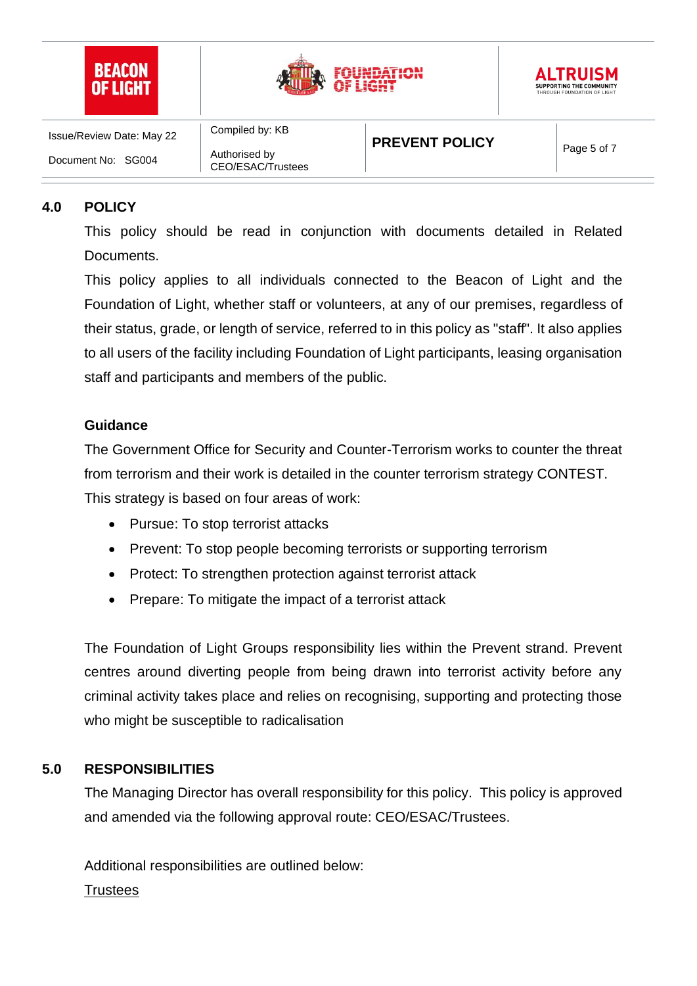

# **4.0 POLICY**

This policy should be read in conjunction with documents detailed in Related Documents.

This policy applies to all individuals connected to the Beacon of Light and the Foundation of Light, whether staff or volunteers, at any of our premises, regardless of their status, grade, or length of service, referred to in this policy as "staff". It also applies to all users of the facility including Foundation of Light participants, leasing organisation staff and participants and members of the public.

#### **Guidance**

The Government Office for Security and Counter-Terrorism works to counter the threat from terrorism and their work is detailed in the counter terrorism strategy CONTEST. This strategy is based on four areas of work:

- Pursue: To stop terrorist attacks
- Prevent: To stop people becoming terrorists or supporting terrorism
- Protect: To strengthen protection against terrorist attack
- Prepare: To mitigate the impact of a terrorist attack

The Foundation of Light Groups responsibility lies within the Prevent strand. Prevent centres around diverting people from being drawn into terrorist activity before any criminal activity takes place and relies on recognising, supporting and protecting those who might be susceptible to radicalisation

#### **5.0 RESPONSIBILITIES**

The Managing Director has overall responsibility for this policy. This policy is approved and amended via the following approval route: CEO/ESAC/Trustees.

Additional responsibilities are outlined below:

#### **Trustees**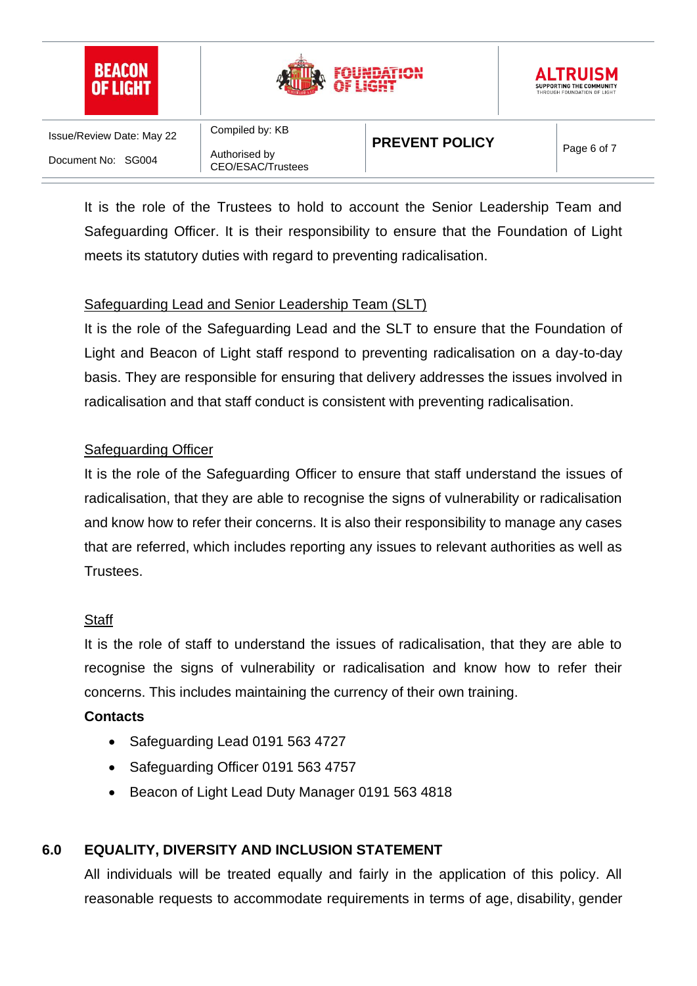

It is the role of the Trustees to hold to account the Senior Leadership Team and Safeguarding Officer. It is their responsibility to ensure that the Foundation of Light meets its statutory duties with regard to preventing radicalisation.

# Safeguarding Lead and Senior Leadership Team (SLT)

It is the role of the Safeguarding Lead and the SLT to ensure that the Foundation of Light and Beacon of Light staff respond to preventing radicalisation on a day-to-day basis. They are responsible for ensuring that delivery addresses the issues involved in radicalisation and that staff conduct is consistent with preventing radicalisation.

#### Safeguarding Officer

It is the role of the Safeguarding Officer to ensure that staff understand the issues of radicalisation, that they are able to recognise the signs of vulnerability or radicalisation and know how to refer their concerns. It is also their responsibility to manage any cases that are referred, which includes reporting any issues to relevant authorities as well as Trustees.

#### **Staff**

It is the role of staff to understand the issues of radicalisation, that they are able to recognise the signs of vulnerability or radicalisation and know how to refer their concerns. This includes maintaining the currency of their own training.

#### **Contacts**

- Safeguarding Lead 0191 563 4727
- Safeguarding Officer 0191 563 4757
- Beacon of Light Lead Duty Manager 0191 563 4818

## **6.0 EQUALITY, DIVERSITY AND INCLUSION STATEMENT**

All individuals will be treated equally and fairly in the application of this policy. All reasonable requests to accommodate requirements in terms of age, disability, [gender](https://www.equalityhumanrights.com/en/equality-act/protected-characteristics#reassignment)